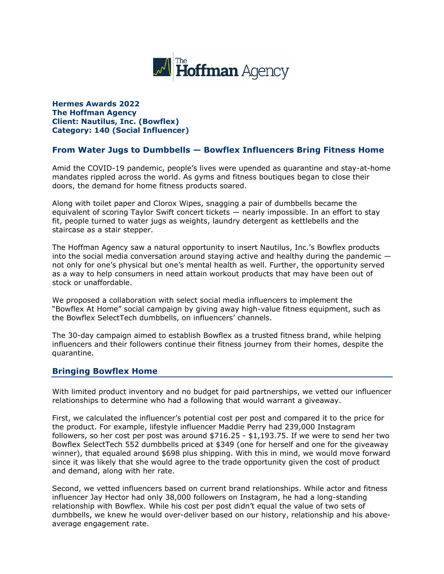

**Hermes Awards 2022 The Hoffman Agency Client: Nautilus, Inc. (Bowflex) Category: 140 (Social Influencer)**

## **From Water Jugs to Dumbbells — Bowflex Influencers Bring Fitness Home**

Amid the COVID-19 pandemic, people's lives were upended as quarantine and stay-at-home mandates rippled across the world. As gyms and fitness boutiques began to close their doors, the demand for home fitness products soared.

Along with toilet paper and Clorox Wipes, snagging a pair of dumbbells became the equivalent of scoring Taylor Swift concert tickets — nearly impossible. In an effort to stay fit, people turned to water jugs as weights, laundry detergent as kettlebells and the staircase as a stair stepper.

The Hoffman Agency saw a natural opportunity to insert Nautilus, Inc.'s Bowflex products into the social media conversation around staying active and healthy during the pandemic not only for one's physical but one's mental health as well. Further, the opportunity served as a way to help consumers in need attain workout products that may have been out of stock or unaffordable.

We proposed a collaboration with select social media influencers to implement the "Bowflex At Home" social campaign by giving away high-value fitness equipment, such as the Bowflex SelectTech dumbbells, on influencers' channels.

The 30-day campaign aimed to establish Bowflex as a trusted fitness brand, while helping influencers and their followers continue their fitness journey from their homes, despite the quarantine.

## **Bringing Bowflex Home**

With limited product inventory and no budget for paid partnerships, we vetted our influencer relationships to determine who had a following that would warrant a giveaway.

First, we calculated the influencer's potential cost per post and compared it to the price for the product. For example, lifestyle influencer Maddie Perry had 239,000 Instagram followers, so her cost per post was around \$716.25 - \$1,193.75. If we were to send her two Bowflex SelectTech 552 dumbbells priced at \$349 (one for herself and one for the giveaway winner), that equaled around \$698 plus shipping. With this in mind, we would move forward since it was likely that she would agree to the trade opportunity given the cost of product and demand, along with her rate.

Second, we vetted influencers based on current brand relationships. While actor and fitness influencer Jay Hector had only 38,000 followers on Instagram, he had a long-standing relationship with Bowflex. While his cost per post didn't equal the value of two sets of dumbbells, we knew he would over-deliver based on our history, relationship and his aboveaverage engagement rate.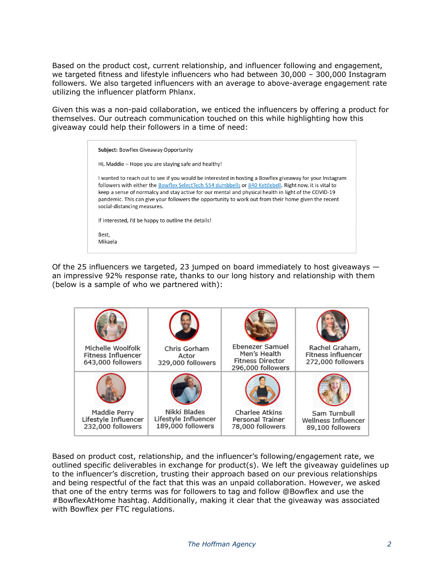Based on the product cost, current relationship, and influencer following and engagement, we targeted fitness and lifestyle influencers who had between 30,000 – 300,000 Instagram followers. We also targeted influencers with an average to above-average engagement rate utilizing the influencer platform Phlanx.

Given this was a non-paid collaboration, we enticed the influencers by offering a product for themselves. Our outreach communication touched on this while highlighting how this giveaway could help their followers in a time of need:

| <b>Subject: Bowflex Giveaway Opportunity</b>                                                                                                                                                                                                                                                                                                                                                                                                                      |  |
|-------------------------------------------------------------------------------------------------------------------------------------------------------------------------------------------------------------------------------------------------------------------------------------------------------------------------------------------------------------------------------------------------------------------------------------------------------------------|--|
| Hi, Maddie – Hope you are staying safe and healthy!                                                                                                                                                                                                                                                                                                                                                                                                               |  |
| I wanted to reach out to see if you would be interested in hosting a Bowflex giveaway for your Instagram<br>followers with either the Bowflex SelectTech 554 dumbbells or 840 Kettlebell. Right now, it is vital to<br>keep a sense of normalcy and stay active for our mental and physical health in light of the COVID-19<br>pandemic. This can give your followers the opportunity to work out from their home given the recent<br>social-distancing measures. |  |
| If interested, I'd be happy to outline the details!                                                                                                                                                                                                                                                                                                                                                                                                               |  |
| Best,<br>Mikaela                                                                                                                                                                                                                                                                                                                                                                                                                                                  |  |

Of the 25 influencers we targeted, 23 jumped on board immediately to host giveaways an impressive 92% response rate, thanks to our long history and relationship with them (below is a sample of who we partnered with):



Based on product cost, relationship, and the influencer's following/engagement rate, we outlined specific deliverables in exchange for product(s). We left the giveaway guidelines up to the influencer's discretion, trusting their approach based on our previous relationships and being respectful of the fact that this was an unpaid collaboration. However, we asked that one of the entry terms was for followers to tag and follow @Bowflex and use the #BowflexAtHome hashtag. Additionally, making it clear that the giveaway was associated with Bowflex per FTC regulations.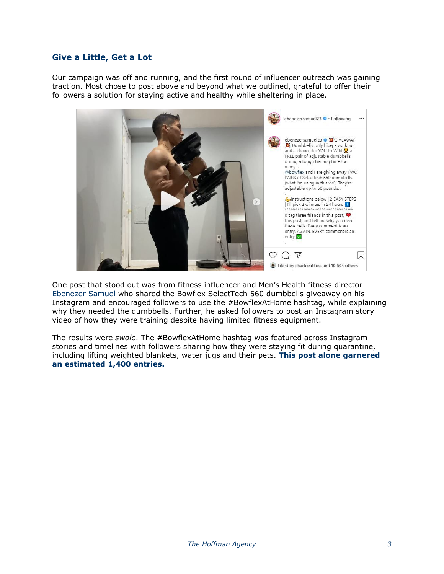## **Give a Little, Get a Lot**

Our campaign was off and running, and the first round of influencer outreach was gaining traction. Most chose to post above and beyond what we outlined, grateful to offer their followers a solution for staying active and healthy while sheltering in place.



One post that stood out was from fitness influencer and Men's Health fitness director [Ebenezer Samuel](https://www.instagram.com/ebenezersamuel23/) who shared the Bowflex SelectTech 560 dumbbells giveaway [on his](https://www.instagram.com/p/B-EseZDnx8_/)  [Instagram](https://www.instagram.com/p/B-EseZDnx8_/) and encouraged followers to use the #BowflexAtHome hashtag, while explaining why they needed the dumbbells. Further, he asked followers to post an Instagram story video of how they were training despite having limited fitness equipment.

The results were *swole*. The #BowflexAtHome hashtag was featured across Instagram stories and timelines with followers sharing how they were staying fit during quarantine, including lifting weighted blankets, water jugs and their pets. **This post alone garnered an estimated 1,400 entries.**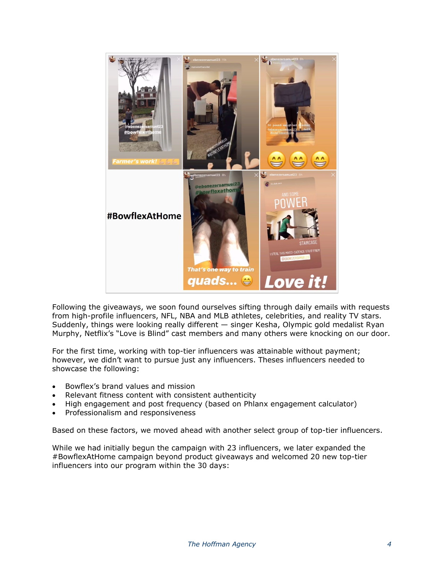

Following the giveaways, we soon found ourselves sifting through daily emails with requests from high-profile influencers, NFL, NBA and MLB athletes, celebrities, and reality TV stars. Suddenly, things were looking really different — singer Kesha, Olympic gold medalist Ryan Murphy, Netflix's "Love is Blind" cast members and many others were knocking on our door.

For the first time, working with top-tier influencers was attainable without payment; however, we didn't want to pursue just any influencers. Theses influencers needed to showcase the following:

- Bowflex's brand values and mission
- Relevant fitness content with consistent authenticity
- High engagement and post frequency (based on Phlanx engagement calculator)
- Professionalism and responsiveness

Based on these factors, we moved ahead with another select group of top-tier influencers.

While we had initially begun the campaign with 23 influencers, we later expanded the #BowflexAtHome campaign beyond product giveaways and welcomed 20 new top-tier influencers into our program within the 30 days: